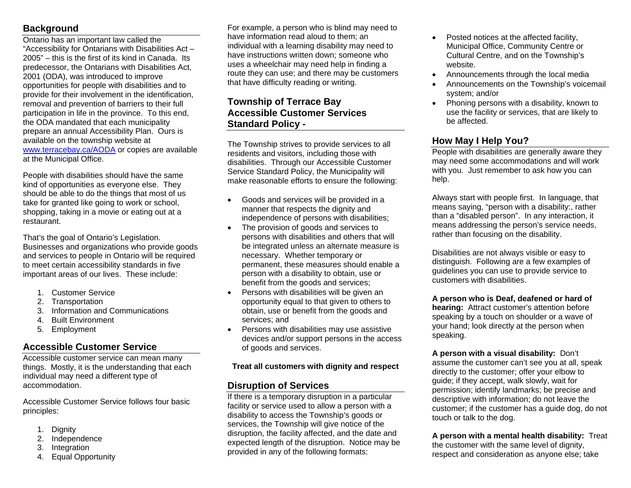## **Background**

Ontario has an important law called the "Accessibility for Ontarians with Disabilities Act – 2005" – this is the first of its kind in Canada. Its predecessor, the Ontarians with Disabilities Act, 2001 (ODA), was introduced to improve opportunities for people with disabilities and to provide for their involvement in the identification, removal and prevention of barriers to their full participation in life in the province. To this end, the ODA mandated that each municipality prepare an annual Accessibility Plan. Ours is available on the township website at [www.terracebay.ca/AODA](http://www.terracebay.ca/AODA) or copies are available at the Municipal Office.

People with disabilities should have the same kind of opportunities as everyone else. They should be able to do the things that most of us take for granted like going to work or school, shopping, taking in a movie or eating out at a restaurant.

That's the goal of Ontario's Legislation. Businesses and organizations who provide goods and services to people in Ontario will be required to meet certain accessibility standards in five important areas of our lives. These include:

- 1. Customer Service
- 2. Transportation
- 3. Information and Communications
- 4. Built Environment
- 5. Employment

# **Accessible Customer Service**

Accessible customer service can mean many things. Mostly, it is the understanding that each individual may need a different type of accommodation.

Accessible Customer Service follows four basic principles:

- 1. Dignity
- 2. Independence
- 3. Integration
- 4. Equal Opportunity

For example, a person who is blind may need to have information read aloud to them; an individual with a learning disability may need to have instructions written down; someone who uses a wheelchair may need help in finding a route they can use; and there may be customers that have difficulty reading or writing.

## **Township of Terrace Bay Accessible Customer Services Standard Policy -**

The Township strives to provide services to all residents and visitors, including those with disabilities. Through our Accessible Customer Service Standard Policy, the Municipality will make reasonable efforts to ensure the following:

- Goods and services will be provided in a manner that respects the dignity and independence of persons with disabilities;
- The provision of goods and services to persons with disabilities and others that will be integrated unless an alternate measure is necessary. Whether temporary or permanent, these measures should enable a person with a disability to obtain, use or benefit from the goods and services;
- Persons with disabilities will be given an opportunity equal to that given to others to obtain, use or benefit from the goods and services; and
- Persons with disabilities may use assistive devices and/or support persons in the access of goods and services.

#### **Treat all customers with dignity and respect**

# **Disruption of Services**

If there is a temporary disruption in a particular facility or service used to allow a person with a disability to access the Township's goods or services, the Township will give notice of the disruption, the facility affected, and the date and expected length of the disruption. Notice may be provided in any of the following formats:

- Posted notices at the affected facility, Municipal Office, Community Centre or Cultural Centre, and on the Township's website.
- Announcements through the local media
- Announcements on the Township's voicemail system; and/or
- Phoning persons with a disability, known to use the facility or services, that are likely to be affected.

# **How May I Help You?**

People with disabilities are generally aware they may need some accommodations and will work with you. Just remember to ask how you can help.

Always start with people first. In language, that means saying, "person with a disability:, rather than a "disabled person". In any interaction, it means addressing the person's service needs, rather than focusing on the disability.

Disabilities are not always visible or easy to distinguish. Following are a few examples of guidelines you can use to provide service to customers with disabilities.

**A person who is Deaf, deafened or hard of hearing:** Attract customer's attention before speaking by a touch on shoulder or a wave of your hand; look directly at the person when speaking.

**A person with a visual disability:** Don't assume the customer can't see you at all, speak directly to the customer; offer your elbow to guide; if they accept, walk slowly, wait for permission; identify landmarks; be precise and descriptive with information; do not leave the customer; if the customer has a guide dog, do not touch or talk to the dog.

**A person with a mental health disability:** Treat the customer with the same level of dignity, respect and consideration as anyone else; take